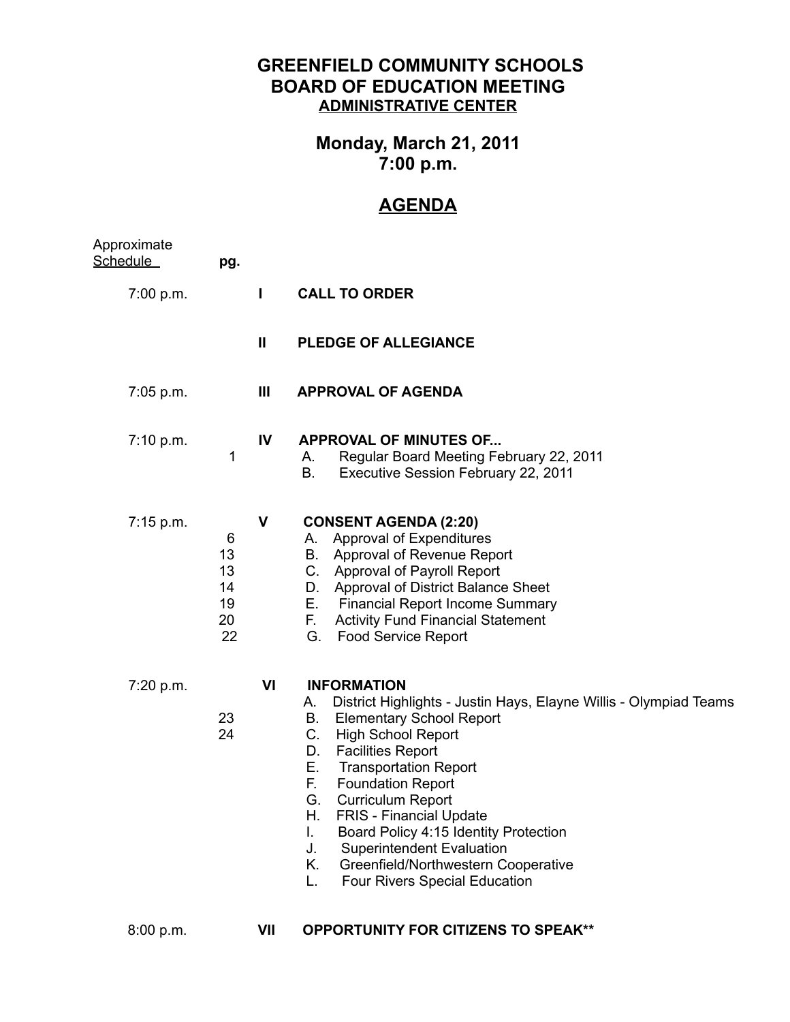## **GREENFIELD COMMUNITY SCHOOLS BOARD OF EDUCATION MEETING ADMINISTRATIVE CENTER**

## **Monday, March 21, 2011 7:00 p.m.**

## **AGENDA**

| Approximate<br>Schedule_ | pg.                                   |              |                                                                                                                                                                                                                                                                                                                                                                                                                                                                                                                                            |
|--------------------------|---------------------------------------|--------------|--------------------------------------------------------------------------------------------------------------------------------------------------------------------------------------------------------------------------------------------------------------------------------------------------------------------------------------------------------------------------------------------------------------------------------------------------------------------------------------------------------------------------------------------|
| 7:00 p.m.                |                                       | L            | <b>CALL TO ORDER</b>                                                                                                                                                                                                                                                                                                                                                                                                                                                                                                                       |
|                          |                                       | $\mathbf{I}$ | <b>PLEDGE OF ALLEGIANCE</b>                                                                                                                                                                                                                                                                                                                                                                                                                                                                                                                |
| $7:05$ p.m.              |                                       | Ш            | <b>APPROVAL OF AGENDA</b>                                                                                                                                                                                                                                                                                                                                                                                                                                                                                                                  |
| 7:10 p.m.                | 1                                     | IV           | <b>APPROVAL OF MINUTES OF</b><br>Regular Board Meeting February 22, 2011<br>А.<br>В.<br>Executive Session February 22, 2011                                                                                                                                                                                                                                                                                                                                                                                                                |
| 7:15 p.m.                | 6<br>13<br>13<br>14<br>19<br>20<br>22 | V            | <b>CONSENT AGENDA (2:20)</b><br>Approval of Expenditures<br>А.<br>Approval of Revenue Report<br>В.<br>C.<br><b>Approval of Payroll Report</b><br>D. Approval of District Balance Sheet<br><b>Financial Report Income Summary</b><br>Е.<br>Е.<br><b>Activity Fund Financial Statement</b><br><b>Food Service Report</b><br>G.                                                                                                                                                                                                               |
| 7:20 p.m.                | 23<br>24                              | VI           | <b>INFORMATION</b><br>District Highlights - Justin Hays, Elayne Willis - Olympiad Teams<br>А.<br><b>Elementary School Report</b><br>В.<br>C.<br><b>High School Report</b><br><b>Facilities Report</b><br>D.<br>Е.<br><b>Transportation Report</b><br>F.<br><b>Foundation Report</b><br>G.<br><b>Curriculum Report</b><br>Н.<br><b>FRIS</b> - Financial Update<br>Board Policy 4:15 Identity Protection<br>I.<br><b>Superintendent Evaluation</b><br>J.<br>Κ.<br>Greenfield/Northwestern Cooperative<br>Four Rivers Special Education<br>L. |

8:00 p.m. **VII OPPORTUNITY FOR CITIZENS TO SPEAK\*\***